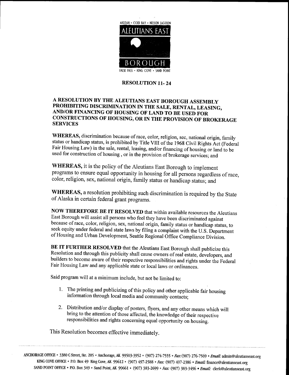

## **RESOLUTION 11-24**

## ARESOLUTION BY THE ALEUTIANS EAST BOROUGH ASSEMBLY PROHIBITING DISCRIMINATION IN THE SALE, RENTAL, LEASING,<br>AND/OR FINANCING OF HOUSING OF LAND TO BE USED FOR AND/OR FINANCING OF HOUSING OF LAND TO BE USED FOR<br>CONSTRUCTIONS OF HOUSING, OR IN THE PROVISION OF BROKERAGE SERVICES

WHEREAS, discrimination because of race, color, religion, sec, national origin, family status or handicap status, is prohibited by Title VIII of the 1968 Civil Rights Act (Federal Fair Housing Law) in the sale, rental, leasing, and/or financing of housing or land to be used for construction of housing, or in the provision of brokerage services; and

WHEREAS, it is the policy of the Aleutians East Borough to implement programs to ensure equal opportunity in housing for all persons regardless of race, color, religion, sex, national origin, family status or handicap status; and

WHEREAS, a resolution prohibiting such discrimination is required by the State of Alaska in certain federal grant programs.

NOW THEREFORE BE IT RESOLVED that within available resources the Aleutians East Borough will assist all persons who feel they have been discriminated against because of race, color, religion, sex, national origin, family status or handicap status, to because of race, color, religion, sex, national origin, family status or handic<br>seek equity under federal and state laws by filing a complaint with the U.S.<br>of Housing and Urban Dovelopment, Seettle Bratique J.O.C. of Housing and Urban Development, Seattle Regional Office Compliance Division.

BE IT FURTHER RESOLVED that the Aleutians East Borough shall publicize this Resolution and through this publicity shall cause owners of real estate, developers, and builders to become aware of their respective responsibilities and rights under the Federal Fair Housing Law and any applicable state or local laws or ordinances.

Said program will at a minimum include, but not be limited to:

- 1. The printing and publicizing of this policy and other applicable fair housing information through local media and community contacts
- 2. Distribution and/or display of posters, flyers, and any other means which will bring to the attention of those affected, the knowledge of their respective responsibilities and rights concerning equal opportunity on housing

This Resolution becomes effective immediately

ANCHORAGE OFFICE \* 3380 C Street, Ste. 205 \* Anchorage, AK 99503-3952 \* (907) 274-7555 \* Fax: (907) 276-7569 \* Email KING COVE OFFICE • P.O. Box 49 King Cove, AK 99612 • (907) 497-2588 • *Fax:* (907) 497-2386 • *Email:* admin@aleutianseast org SAND POINT OFFICE • P.O. Box 349 • Sand Point, AK 99661 • (907) 383-2699 • Fax: (907) 383-3496 • Email: clerk@aleutianseast.org **Finance & Email:**<br>Finance@aleutianseast.org<br>*iil*: clerk@aleutianseast.org chorage, AK 99503-3952 • (907) 274-7555 • *Fax*: (907) 276-7569 • *Email*: admin@aleutianse<br>ve, AK 99612 • (907) 497-2588 • *Fax:* (907) 497-2386 • *Email:* finance@aleutianseast.org<br>Point, AK 99661 • (907) 383-2699 • *Fax*